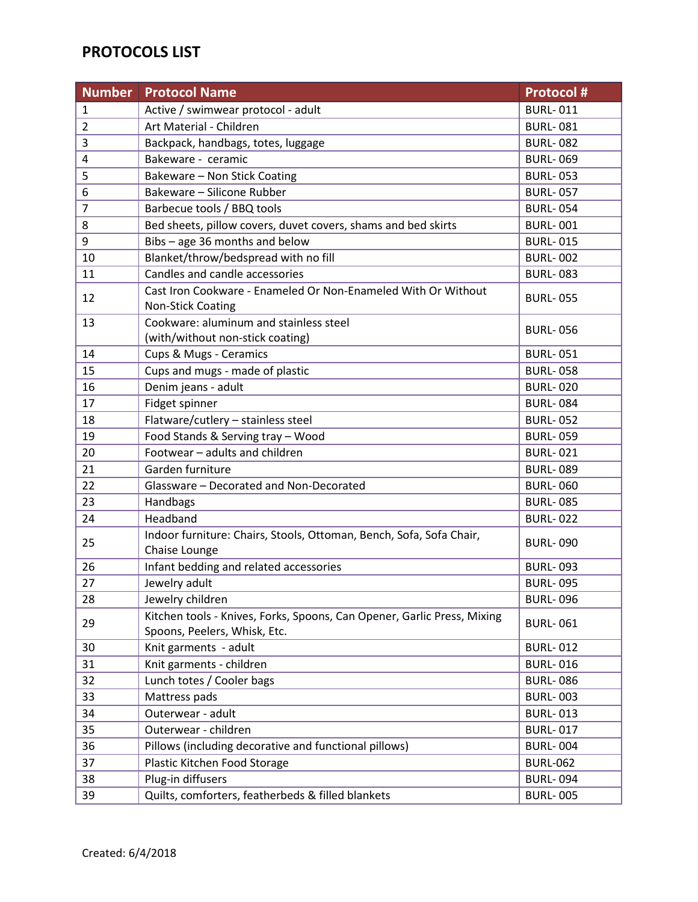## **PROTOCOLS LIST**

| <b>Number</b>  | <b>Protocol Name</b>                                                                                    | <b>Protocol #</b> |
|----------------|---------------------------------------------------------------------------------------------------------|-------------------|
| $\mathbf 1$    | Active / swimwear protocol - adult                                                                      | <b>BURL-011</b>   |
| $\overline{2}$ | Art Material - Children                                                                                 | <b>BURL-081</b>   |
| 3              | Backpack, handbags, totes, luggage                                                                      | <b>BURL-082</b>   |
| 4              | Bakeware - ceramic                                                                                      | <b>BURL-069</b>   |
| 5              | Bakeware - Non Stick Coating                                                                            | <b>BURL-053</b>   |
| 6              | Bakeware - Silicone Rubber                                                                              | <b>BURL-057</b>   |
| $\overline{7}$ | Barbecue tools / BBQ tools                                                                              | <b>BURL-054</b>   |
| 8              | Bed sheets, pillow covers, duvet covers, shams and bed skirts                                           | <b>BURL-001</b>   |
| 9              | Bibs - age 36 months and below                                                                          | <b>BURL-015</b>   |
| 10             | Blanket/throw/bedspread with no fill                                                                    | <b>BURL-002</b>   |
| 11             | Candles and candle accessories                                                                          | <b>BURL-083</b>   |
| 12             | Cast Iron Cookware - Enameled Or Non-Enameled With Or Without<br><b>Non-Stick Coating</b>               | <b>BURL-055</b>   |
| 13             | Cookware: aluminum and stainless steel                                                                  |                   |
|                | (with/without non-stick coating)                                                                        | <b>BURL-056</b>   |
| 14             | Cups & Mugs - Ceramics                                                                                  | <b>BURL-051</b>   |
| 15             | Cups and mugs - made of plastic                                                                         | <b>BURL-058</b>   |
| 16             | Denim jeans - adult                                                                                     | <b>BURL-020</b>   |
| 17             | Fidget spinner                                                                                          | <b>BURL-084</b>   |
| 18             | Flatware/cutlery - stainless steel                                                                      | <b>BURL-052</b>   |
| 19             | Food Stands & Serving tray - Wood                                                                       | <b>BURL-059</b>   |
| 20             | Footwear - adults and children                                                                          | <b>BURL-021</b>   |
| 21             | Garden furniture                                                                                        | <b>BURL-089</b>   |
| 22             | Glassware - Decorated and Non-Decorated                                                                 | <b>BURL-060</b>   |
| 23             | Handbags                                                                                                | <b>BURL-085</b>   |
| 24             | Headband                                                                                                | <b>BURL-022</b>   |
| 25             | Indoor furniture: Chairs, Stools, Ottoman, Bench, Sofa, Sofa Chair,<br>Chaise Lounge                    | <b>BURL-090</b>   |
| 26             | Infant bedding and related accessories                                                                  | <b>BURL-093</b>   |
| 27             | Jewelry adult                                                                                           | <b>BURL-095</b>   |
| 28             | Jewelry children                                                                                        | <b>BURL-096</b>   |
| 29             | Kitchen tools - Knives, Forks, Spoons, Can Opener, Garlic Press, Mixing<br>Spoons, Peelers, Whisk, Etc. | <b>BURL-061</b>   |
| 30             | Knit garments - adult                                                                                   | <b>BURL-012</b>   |
| 31             | Knit garments - children                                                                                | <b>BURL-016</b>   |
| 32             | Lunch totes / Cooler bags                                                                               | <b>BURL-086</b>   |
| 33             | Mattress pads                                                                                           | <b>BURL-003</b>   |
| 34             | Outerwear - adult                                                                                       | <b>BURL-013</b>   |
| 35             | Outerwear - children                                                                                    | <b>BURL-017</b>   |
| 36             | Pillows (including decorative and functional pillows)                                                   | <b>BURL-004</b>   |
| 37             | Plastic Kitchen Food Storage                                                                            | <b>BURL-062</b>   |
| 38             | Plug-in diffusers                                                                                       | <b>BURL-094</b>   |
| 39             | Quilts, comforters, featherbeds & filled blankets                                                       | <b>BURL-005</b>   |